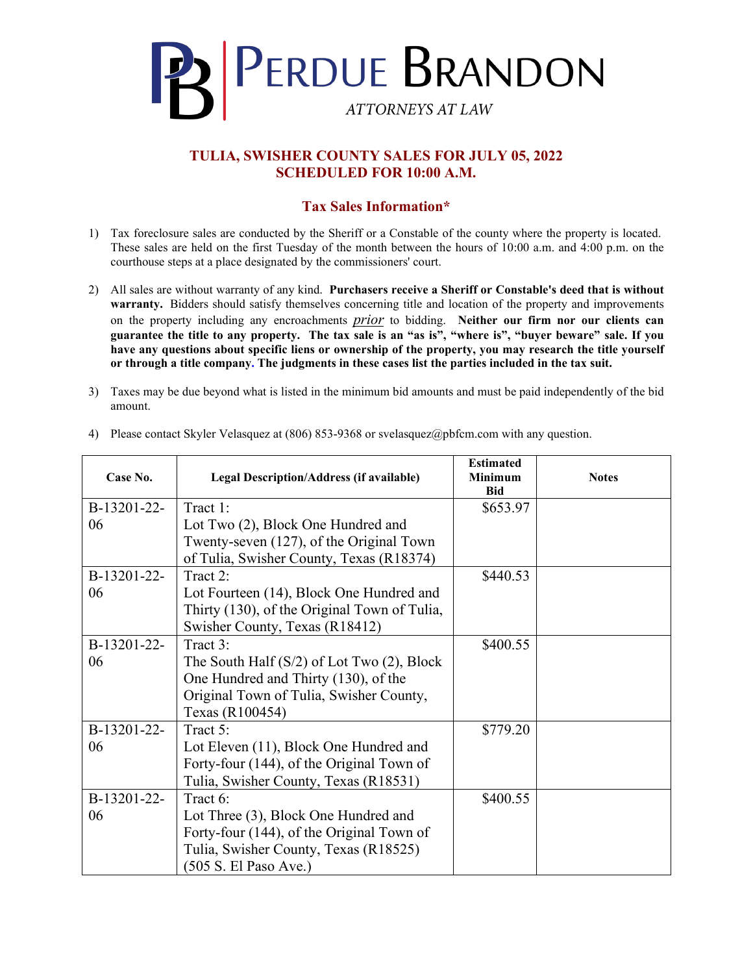

## **TULIA, SWISHER COUNTY SALES FOR JULY 05, 2022 SCHEDULED FOR 10:00 A.M.**

## **Tax Sales Information\***

- 1) Tax foreclosure sales are conducted by the Sheriff or a Constable of the county where the property is located. These sales are held on the first Tuesday of the month between the hours of 10:00 a.m. and 4:00 p.m. on the courthouse steps at a place designated by the commissioners' court.
- 2) All sales are without warranty of any kind. **Purchasers receive a Sheriff or Constable's deed that is without warranty.** Bidders should satisfy themselves concerning title and location of the property and improvements on the property including any encroachments *prior* to bidding. **Neither our firm nor our clients can guarantee the title to any property. The tax sale is an "as is", "where is", "buyer beware" sale. If you have any questions about specific liens or ownership of the property, you may research the title yourself or through a title company. The judgments in these cases list the parties included in the tax suit.**
- 3) Taxes may be due beyond what is listed in the minimum bid amounts and must be paid independently of the bid amount.

| Case No.    | Legal Description/Address (if available)        | <b>Estimated</b><br><b>Minimum</b><br><b>Bid</b> | <b>Notes</b> |
|-------------|-------------------------------------------------|--------------------------------------------------|--------------|
| B-13201-22- | Tract 1:                                        | \$653.97                                         |              |
| 06          | Lot Two (2), Block One Hundred and              |                                                  |              |
|             | Twenty-seven (127), of the Original Town        |                                                  |              |
|             | of Tulia, Swisher County, Texas (R18374)        |                                                  |              |
| B-13201-22- | Tract 2:                                        | \$440.53                                         |              |
| 06          | Lot Fourteen (14), Block One Hundred and        |                                                  |              |
|             | Thirty (130), of the Original Town of Tulia,    |                                                  |              |
|             | Swisher County, Texas (R18412)                  |                                                  |              |
| B-13201-22- | Tract 3:                                        | \$400.55                                         |              |
| 06          | The South Half $(S/2)$ of Lot Two $(2)$ , Block |                                                  |              |
|             | One Hundred and Thirty (130), of the            |                                                  |              |
|             | Original Town of Tulia, Swisher County,         |                                                  |              |
|             | Texas (R100454)                                 |                                                  |              |
| B-13201-22- | Tract 5:                                        | \$779.20                                         |              |
| 06          | Lot Eleven (11), Block One Hundred and          |                                                  |              |
|             | Forty-four (144), of the Original Town of       |                                                  |              |
|             | Tulia, Swisher County, Texas (R18531)           |                                                  |              |
| B-13201-22- | Tract 6:                                        | \$400.55                                         |              |
| 06          | Lot Three (3), Block One Hundred and            |                                                  |              |
|             | Forty-four (144), of the Original Town of       |                                                  |              |
|             | Tulia, Swisher County, Texas (R18525)           |                                                  |              |
|             | (505 S. El Paso Ave.)                           |                                                  |              |

4) Please contact Skyler Velasquez at (806) 853-9368 or svelasquez@pbfcm.com with any question.